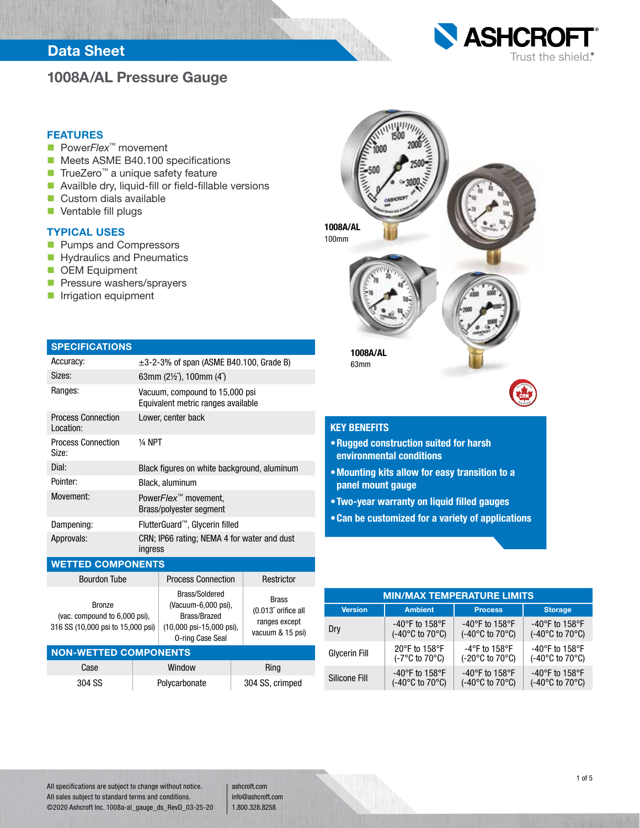### Data Sheet

## 1008A/AL Pressure Gauge



#### FEATURES

- Power*Flex*<sup>™</sup> movement
- Meets ASME B40.100 specifications
- TrueZero<sup>™</sup> a unique safety feature
- Availble dry, liquid-fill or field-fillable versions
- Custom dials available
- **Ventable fill plugs**

#### TYPICAL USES

- **Pumps and Compressors**
- Hydraulics and Pneumatics
- **DEM Equipment**
- **Pressure washers/sprayers**
- **In Irrigation equipment**

| <b>SPECIFICATIONS</b> |  |
|-----------------------|--|
|                       |  |

| Accuracy:                              | $\pm$ 3-2-3% of span (ASME B40.100, Grade B)                         |
|----------------------------------------|----------------------------------------------------------------------|
| Sizes:                                 | 63mm $(2\frac{1}{2})$ , 100mm $(4')$                                 |
| Ranges:                                | Vacuum, compound to 15,000 psi<br>Equivalent metric ranges available |
| <b>Process Connection</b><br>Location: | Lower, center back                                                   |
| <b>Process Connection</b><br>Size:     | 1⁄4 NPT                                                              |
| Dial:                                  | Black figures on white background, aluminum                          |
| Pointer:                               | Black, aluminum                                                      |
| Movement:                              | Power <i>Flex</i> <sup>™</sup> movement,<br>Brass/polyester segment  |
| Dampening:                             | FlutterGuard™, Glycerin filled                                       |
| Approvals:                             | CRN; IP66 rating; NEMA 4 for water and dust<br>ingress               |

#### WETTED COMPONENTS

| <b>Bourdon Tube</b>                                                                 |  | <b>Process Connection</b>                                                                                                         | Restrictor                                                               |  |  |  |  |  |
|-------------------------------------------------------------------------------------|--|-----------------------------------------------------------------------------------------------------------------------------------|--------------------------------------------------------------------------|--|--|--|--|--|
| <b>Bronze</b><br>(vac. compound to 6,000 psi),<br>316 SS (10,000 psi to 15,000 psi) |  | Brass/Soldered<br>(Vacuum-6,000 psi),<br>Brass/Brazed<br>$(10,000 \text{ psi} - 15,000 \text{ psi})$ ,<br><b>0-ring Case Seal</b> | <b>Brass</b><br>(0.013" orifice all<br>ranges except<br>vacuum & 15 psi) |  |  |  |  |  |
| <b>NON-WETTED COMPONENTS</b>                                                        |  |                                                                                                                                   |                                                                          |  |  |  |  |  |
| Case                                                                                |  | Window                                                                                                                            | Ring                                                                     |  |  |  |  |  |
| 304 SS                                                                              |  | Polycarbonate                                                                                                                     | 304 SS, crimped                                                          |  |  |  |  |  |



### KEY BENEFITS

- •Rugged construction suited for harsh environmental conditions
- •Mounting kits allow for easy transition to a panel mount gauge
- •Two-year warranty on liquid filled gauges
- •Can be customized for a variety of applications

| <b>MIN/MAX TEMPERATURE LIMITS</b> |                                      |                                      |                                     |  |  |  |  |  |  |  |
|-----------------------------------|--------------------------------------|--------------------------------------|-------------------------------------|--|--|--|--|--|--|--|
| <b>Version</b>                    | <b>Ambient</b>                       | <b>Process</b>                       |                                     |  |  |  |  |  |  |  |
| Dry                               | -40°F to 158°F                       | -40 $\degree$ F to 158 $\degree$ F   | -40°F to 158°F                      |  |  |  |  |  |  |  |
|                                   | (-40°C to 70°C)                      | $(-40^{\circ}$ C to 70 $^{\circ}$ C) | $(-40^{\circ}$ C to $70^{\circ}$ C) |  |  |  |  |  |  |  |
| <b>Glycerin Fill</b>              | 20°F to 158°F                        | $-4$ °F to 158°F                     | -40°F to 158°F                      |  |  |  |  |  |  |  |
|                                   | $(-7^{\circ}$ C to $70^{\circ}$ C)   | $(-20^{\circ}$ C to $70^{\circ}$ C)  | $(-40^{\circ}$ C to $70^{\circ}$ C) |  |  |  |  |  |  |  |
| Silicone Fill                     | -40 $\degree$ F to 158 $\degree$ F   | -40 $\degree$ F to 158 $\degree$ F   | -40 $\degree$ F to 158 $\degree$ F  |  |  |  |  |  |  |  |
|                                   | $(-40^{\circ}$ C to 70 $^{\circ}$ C) | $(-40^{\circ}$ C to 70 $^{\circ}$ C) | $(-40^{\circ}$ C to $70^{\circ}$ C) |  |  |  |  |  |  |  |

All specifications are subject to change without notice. All sales subject to standard terms and conditions. ©2020 Ashcroft Inc. 1008a-al\_gauge\_ds\_RevD\_03-25-20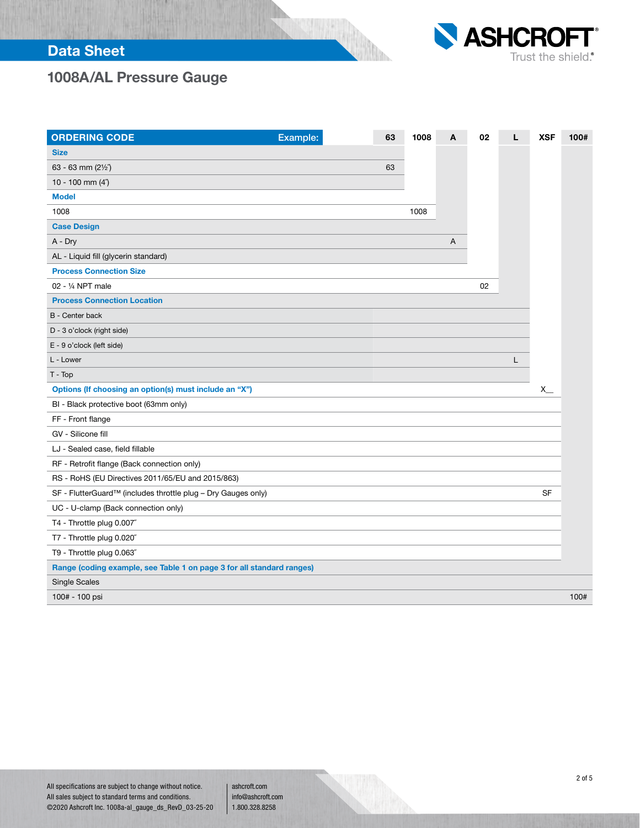# Data Sheet



# 1008A/AL Pressure Gauge

| <b>ORDERING CODE</b>                                                  | Example: | 63 | 1008 | A | 02 | L | <b>XSF</b> | 100# |
|-----------------------------------------------------------------------|----------|----|------|---|----|---|------------|------|
| <b>Size</b>                                                           |          |    |      |   |    |   |            |      |
| 63 - 63 mm (21/2")                                                    |          | 63 |      |   |    |   |            |      |
| 10 - 100 mm $(4n)$                                                    |          |    |      |   |    |   |            |      |
| <b>Model</b>                                                          |          |    |      |   |    |   |            |      |
| 1008                                                                  |          |    | 1008 |   |    |   |            |      |
| <b>Case Design</b>                                                    |          |    |      |   |    |   |            |      |
| A - Dry                                                               |          |    |      | Α |    |   |            |      |
| AL - Liquid fill (glycerin standard)                                  |          |    |      |   |    |   |            |      |
| <b>Process Connection Size</b>                                        |          |    |      |   |    |   |            |      |
| 02 - 1/4 NPT male                                                     |          |    |      |   | 02 |   |            |      |
| <b>Process Connection Location</b>                                    |          |    |      |   |    |   |            |      |
| B - Center back                                                       |          |    |      |   |    |   |            |      |
| D - 3 o'clock (right side)                                            |          |    |      |   |    |   |            |      |
| E - 9 o'clock (left side)                                             |          |    |      |   |    |   |            |      |
| L - Lower                                                             |          |    |      |   |    | L |            |      |
| $T - Top$                                                             |          |    |      |   |    |   |            |      |
| Options (If choosing an option(s) must include an "X")                |          |    |      |   |    |   | $x_{-}$    |      |
| BI - Black protective boot (63mm only)                                |          |    |      |   |    |   |            |      |
| FF - Front flange                                                     |          |    |      |   |    |   |            |      |
| GV - Silicone fill                                                    |          |    |      |   |    |   |            |      |
| LJ - Sealed case, field fillable                                      |          |    |      |   |    |   |            |      |
| RF - Retrofit flange (Back connection only)                           |          |    |      |   |    |   |            |      |
| RS - RoHS (EU Directives 2011/65/EU and 2015/863)                     |          |    |      |   |    |   |            |      |
| SF - FlutterGuard™ (includes throttle plug - Dry Gauges only)         |          |    |      |   |    |   | SF         |      |
| UC - U-clamp (Back connection only)                                   |          |    |      |   |    |   |            |      |
| T4 - Throttle plug 0.007"                                             |          |    |      |   |    |   |            |      |
| T7 - Throttle plug 0.020"                                             |          |    |      |   |    |   |            |      |
| T9 - Throttle plug 0.063"                                             |          |    |      |   |    |   |            |      |
| Range (coding example, see Table 1 on page 3 for all standard ranges) |          |    |      |   |    |   |            |      |
| <b>Single Scales</b>                                                  |          |    |      |   |    |   |            |      |
| 100# - 100 psi                                                        |          |    |      |   |    |   |            | 100# |

an de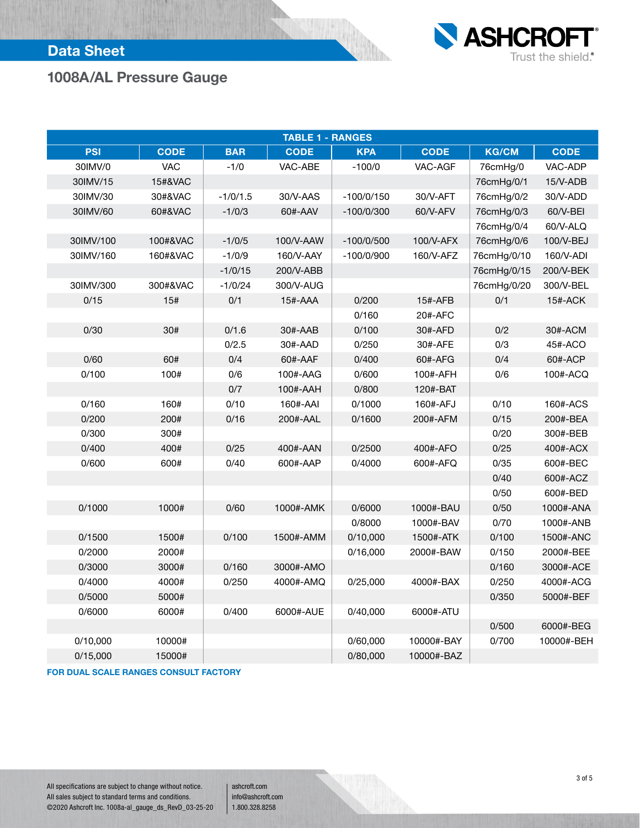

## Data Sheet

# 1008A/AL Pressure Gauge

| <b>TABLE 1 - RANGES</b> |             |            |             |                           |             |              |             |  |  |  |  |  |
|-------------------------|-------------|------------|-------------|---------------------------|-------------|--------------|-------------|--|--|--|--|--|
| <b>PSI</b>              | <b>CODE</b> | <b>BAR</b> | <b>CODE</b> | <b>KPA</b>                | <b>CODE</b> | <b>KG/CM</b> | <b>CODE</b> |  |  |  |  |  |
| 30IMV/0                 | <b>VAC</b>  | $-1/0$     | VAC-ABE     | $-100/0$                  | VAC-AGF     | 76cmHg/0     | VAC-ADP     |  |  |  |  |  |
| 30IMV/15                | 15#&VAC     |            |             |                           |             | 76cmHg/0/1   | 15/V-ADB    |  |  |  |  |  |
| 30IMV/30                | 30#&VAC     | $-1/0/1.5$ | 30/V-AAS    | $-100/0/150$              | 30/V-AFT    | 76cmHg/0/2   | 30/V-ADD    |  |  |  |  |  |
| 30IMV/60                | 60#&VAC     | $-1/0/3$   | 60#-AAV     | $-100/0/300$              | 60/V-AFV    | 76cmHg/0/3   | 60/V-BEI    |  |  |  |  |  |
|                         |             |            |             |                           |             | 76cmHg/0/4   | 60/V-ALQ    |  |  |  |  |  |
| 30IMV/100               | 100#&VAC    | $-1/0/5$   | 100/V-AAW   | $-100/0/500$              | 100/V-AFX   | 76cmHg/0/6   | 100/V-BEJ   |  |  |  |  |  |
| 30IMV/160               | 160#&VAC    | $-1/0/9$   | 160/V-AAY   | 160/V-AFZ<br>$-100/0/900$ |             | 76cmHg/0/10  | 160/V-ADI   |  |  |  |  |  |
|                         |             | $-1/0/15$  | 200/V-ABB   |                           |             | 76cmHg/0/15  | 200/V-BEK   |  |  |  |  |  |
| 30IMV/300               | 300#&VAC    | $-1/0/24$  | 300/V-AUG   |                           |             | 76cmHg/0/20  | 300/V-BEL   |  |  |  |  |  |
| 0/15                    | 15#         | 0/1        | 15#-AAA     | 0/200                     | 15#-AFB     | 0/1          | 15#-ACK     |  |  |  |  |  |
|                         |             |            |             | 0/160                     | 20#-AFC     |              |             |  |  |  |  |  |
| 0/30                    | 30#         | 0/1.6      | 30#-AAB     | 0/100                     | 30#-AFD     | 0/2          | 30#-ACM     |  |  |  |  |  |
|                         |             | 0/2.5      | 30#-AAD     | 0/250                     | 30#-AFE     | 0/3          | 45#-ACO     |  |  |  |  |  |
| 0/60                    | 60#         | 0/4        | 60#-AAF     | 0/400                     | 60#-AFG     | 0/4          | 60#-ACP     |  |  |  |  |  |
| 0/100                   | 100#        | 0/6        | 100#-AAG    | 0/600                     | 100#-AFH    | 0/6          | 100#-ACQ    |  |  |  |  |  |
|                         |             | 0/7        | 100#-AAH    | 0/800                     | 120#-BAT    |              |             |  |  |  |  |  |
| 0/160                   | 160#        | 0/10       | 160#-AAI    | 0/1000                    | 160#-AFJ    | 0/10         | 160#-ACS    |  |  |  |  |  |
| 0/200                   | 200#        | 0/16       | 200#-AAL    | 0/1600                    | 200#-AFM    | 0/15         | 200#-BEA    |  |  |  |  |  |
| 0/300                   | 300#        |            |             |                           |             | 0/20         | 300#-BEB    |  |  |  |  |  |
| 0/400                   | 400#        | 0/25       | 400#-AAN    | 0/2500                    | 400#-AFO    | 0/25         | 400#-ACX    |  |  |  |  |  |
| 0/600                   | 600#        | 0/40       | 600#-AAP    | 0/4000                    | 600#-AFQ    | 0/35         | 600#-BEC    |  |  |  |  |  |
|                         |             |            |             |                           |             | 0/40         | 600#-ACZ    |  |  |  |  |  |
|                         |             |            |             |                           |             | 0/50         | 600#-BED    |  |  |  |  |  |
| 0/1000                  | 1000#       | 0/60       | 1000#-AMK   | 0/6000                    | 1000#-BAU   | 0/50         | 1000#-ANA   |  |  |  |  |  |
|                         |             |            |             | 0/8000                    | 1000#-BAV   | 0/70         | 1000#-ANB   |  |  |  |  |  |
| 0/1500                  | 1500#       | 0/100      | 1500#-AMM   | 0/10,000                  | 1500#-ATK   | 0/100        | 1500#-ANC   |  |  |  |  |  |
| 0/2000                  | 2000#       |            |             | 0/16,000                  | 2000#-BAW   | 0/150        | 2000#-BEE   |  |  |  |  |  |
| 0/3000                  | 3000#       | 0/160      | 3000#-AMO   |                           |             | 0/160        | 3000#-ACE   |  |  |  |  |  |
| 0/4000                  | 4000#       | 0/250      | 4000#-AMQ   | 0/25,000                  | 4000#-BAX   | 0/250        | 4000#-ACG   |  |  |  |  |  |
| 0/5000                  | 5000#       |            |             |                           |             | 0/350        | 5000#-BEF   |  |  |  |  |  |
| 0/6000                  | 6000#       | 0/400      | 6000#-AUE   | 0/40,000                  | 6000#-ATU   |              |             |  |  |  |  |  |
|                         |             |            |             |                           |             | 0/500        | 6000#-BEG   |  |  |  |  |  |
| 0/10,000                | 10000#      |            |             | 0/60,000                  | 10000#-BAY  | 0/700        | 10000#-BEH  |  |  |  |  |  |
| 0/15,000                | 15000#      |            |             | 0/80,000                  | 10000#-BAZ  |              |             |  |  |  |  |  |

FOR DUAL SCALE RANGES CONSULT FACTORY

All specifications are subject to change without notice. All sales subject to standard terms and conditions. ©2020 Ashcroft Inc. 1008a-al\_gauge\_ds\_RevD\_03-25-20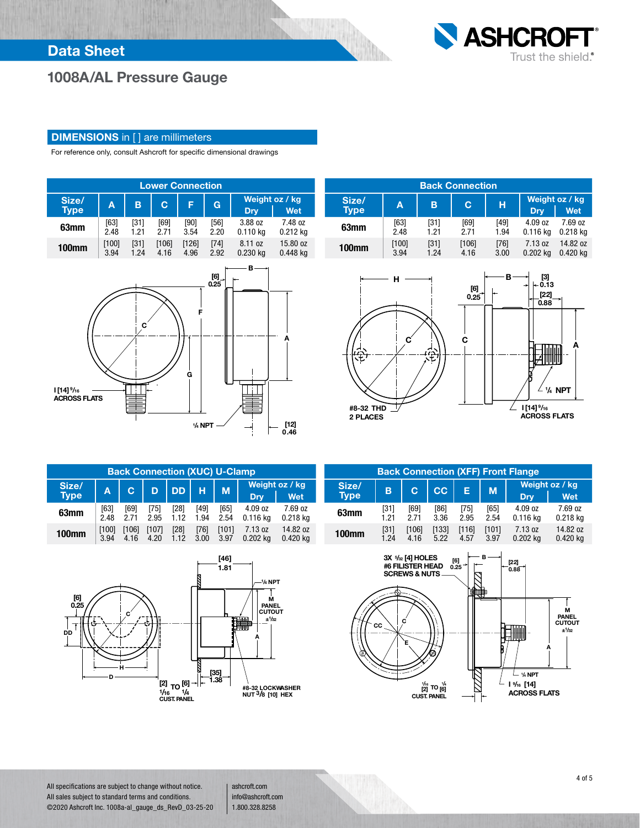

# 1008A/AL Pressure Gauge

#### **DIMENSIONS** in [] are millimeters

For reference only, consult Ashcroft for specific dimensional drawings





| <b>Back Connection</b> |        |      |       |        |            |                       |  |  |  |  |  |
|------------------------|--------|------|-------|--------|------------|-----------------------|--|--|--|--|--|
| Size/<br><b>Type</b>   | A      | в    | C.    | н      | <b>Drv</b> | Weight oz / kg<br>Wet |  |  |  |  |  |
| 63mm                   | $[63]$ | [31] | [69]  | [49]   | 4.09 oz    | 7.69 oz               |  |  |  |  |  |
|                        | 2.48   | 1.21 | 2.71  | 1.94   | $0.116$ kg | $0.218$ kg            |  |  |  |  |  |
| <b>100mm</b>           | [100]  | [31] | [106] | $[76]$ | 7.13 oz    | 14.82 oz              |  |  |  |  |  |
|                        | 3.94   | 1.24 | 4.16  | 3.00   | $0.202$ ka | $0.420$ kg            |  |  |  |  |  |



| <b>Back Connection (XUC) U-Clamp</b> |       |       |       |           |        |       |            |                |  |  |  |
|--------------------------------------|-------|-------|-------|-----------|--------|-------|------------|----------------|--|--|--|
| Size/                                | A     |       | D     | <b>DD</b> | н      | M     |            | Weight oz / kg |  |  |  |
| <b>Type</b>                          |       |       |       |           |        |       | Dry        | Wet            |  |  |  |
| 63mm                                 | [63]  | [69]  | [75]  | [28]      | [49]   | [65]  | 4.09 oz    | 7.69 oz        |  |  |  |
|                                      | 2.48  | 2 71  | 2.95  | 1.12      | 1.94   | 2.54  | $0.116$ kg | $0.218$ kg     |  |  |  |
| <b>100mm</b>                         | [100] | [106] | [107] | $[28]$    | $[76]$ | [101] | 7.13 oz    | 14.82 oz       |  |  |  |
|                                      | 3.94  | 4.16  | 4.20  | 1.12      | 3.00   | 3.97  | $0.202$ kg | $0.420$ kg     |  |  |  |



| <b>Back Connection (XFF) Front Flange</b> |      |       |       |       |       |            |                |  |  |  |
|-------------------------------------------|------|-------|-------|-------|-------|------------|----------------|--|--|--|
| Size/                                     | B    | C     | cc    | Е     | M     |            | Weight oz / kg |  |  |  |
| <b>Type</b>                               |      |       |       |       |       | Dry        | <b>Wet</b>     |  |  |  |
| 63mm                                      | [31] | [69]  | [86]  | [75]  | [65]  | 4.09 oz    | 7.69 oz        |  |  |  |
|                                           | 1.21 | 2.71  | 3.36  | 2.95  | 2.54  | $0.116$ kg | $0.218$ kg     |  |  |  |
| <b>100mm</b>                              | [31] | [106] | [133] | [116] | [101] | 7.13 oz    | 14.82 oz       |  |  |  |
|                                           | 1.24 | 4.16  | 5.22  | 4.57  | 3.97  | $0.202$ kg | $0.420$ kg     |  |  |  |



All specifications are subject to change without notice. All sales subject to standard terms and conditions. ©2020 Ashcroft Inc. 1008a-al\_gauge\_ds\_RevD\_03-25-20